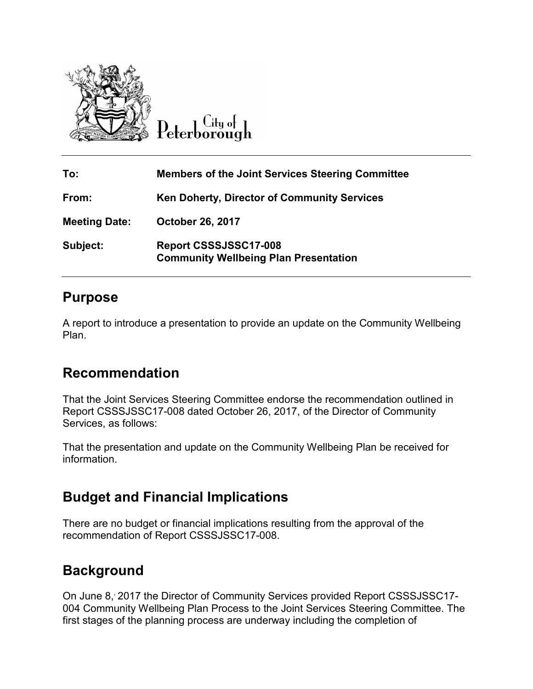

 $\overline{\mathrm{C}}$ ity of

| To:                  | <b>Members of the Joint Services Steering Committee</b>               |
|----------------------|-----------------------------------------------------------------------|
| From:                | Ken Doherty, Director of Community Services                           |
| <b>Meeting Date:</b> | <b>October 26, 2017</b>                                               |
| Subject:             | Report CSSSJSSC17-008<br><b>Community Wellbeing Plan Presentation</b> |

## **Purpose**

A report to introduce a presentation to provide an update on the Community Wellbeing Plan.

## **Recommendation**

That the Joint Services Steering Committee endorse the recommendation outlined in Report CSSSJSSC17-008 dated October 26, 2017, of the Director of Community Services, as follows:

That the presentation and update on the Community Wellbeing Plan be received for information.

## **Budget and Financial Implications**

There are no budget or financial implications resulting from the approval of the recommendation of Report CSSSJSSC17-008.

## **Background**

On June 8, 2017 the Director of Community Services provided Report CSSSJSSC17-004 Community Wellbeing Plan Process to the Joint Services Steering Committee. The first stages of the planning process are underway including the completion of